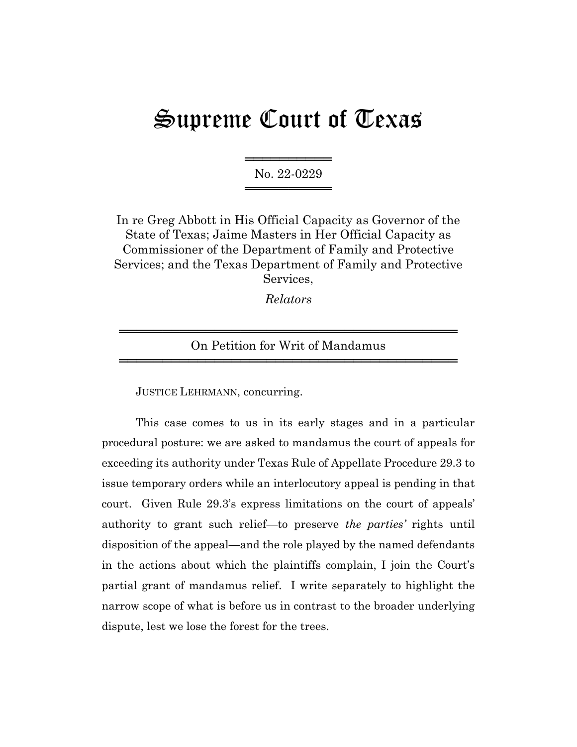## Supreme Court of Texas

══════════ No. 22-0229 ═══════════════════

In re Greg Abbott in His Official Capacity as Governor of the State of Texas; Jaime Masters in Her Official Capacity as Commissioner of the Department of Family and Protective Services; and the Texas Department of Family and Protective Services,

*Relators*

## ═══════════════════════════════════════ On Petition for Writ of Mandamus ═══════════════════════════════════════

JUSTICE LEHRMANN, concurring.

This case comes to us in its early stages and in a particular procedural posture: we are asked to mandamus the court of appeals for exceeding its authority under Texas Rule of Appellate Procedure 29.3 to issue temporary orders while an interlocutory appeal is pending in that court. Given Rule 29.3's express limitations on the court of appeals' authority to grant such relief—to preserve *the parties'* rights until disposition of the appeal—and the role played by the named defendants in the actions about which the plaintiffs complain, I join the Court's partial grant of mandamus relief. I write separately to highlight the narrow scope of what is before us in contrast to the broader underlying dispute, lest we lose the forest for the trees.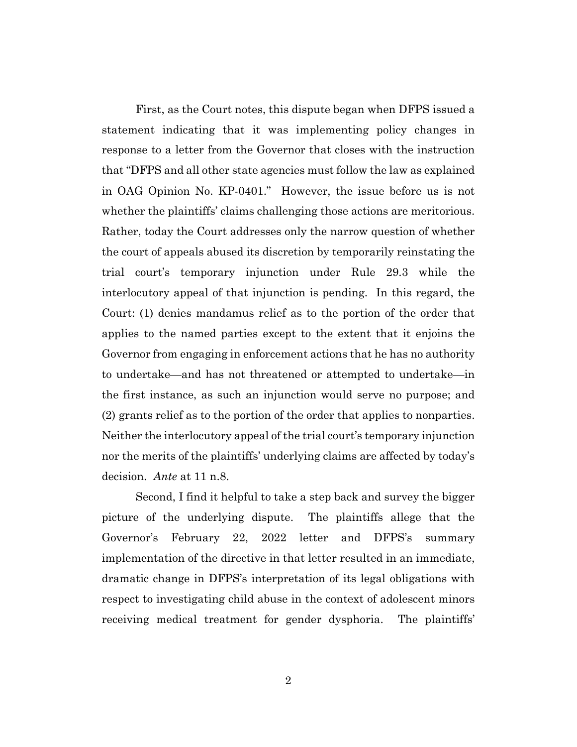First, as the Court notes, this dispute began when DFPS issued a statement indicating that it was implementing policy changes in response to a letter from the Governor that closes with the instruction that "DFPS and all other state agencies must follow the law as explained in OAG Opinion No. KP-0401." However, the issue before us is not whether the plaintiffs' claims challenging those actions are meritorious. Rather, today the Court addresses only the narrow question of whether the court of appeals abused its discretion by temporarily reinstating the trial court's temporary injunction under Rule 29.3 while the interlocutory appeal of that injunction is pending. In this regard, the Court: (1) denies mandamus relief as to the portion of the order that applies to the named parties except to the extent that it enjoins the Governor from engaging in enforcement actions that he has no authority to undertake—and has not threatened or attempted to undertake—in the first instance, as such an injunction would serve no purpose; and (2) grants relief as to the portion of the order that applies to nonparties. Neither the interlocutory appeal of the trial court's temporary injunction nor the merits of the plaintiffs' underlying claims are affected by today's decision. *Ante* at 11 n.8.

Second, I find it helpful to take a step back and survey the bigger picture of the underlying dispute. The plaintiffs allege that the Governor's February 22, 2022 letter and DFPS's summary implementation of the directive in that letter resulted in an immediate, dramatic change in DFPS's interpretation of its legal obligations with respect to investigating child abuse in the context of adolescent minors receiving medical treatment for gender dysphoria. The plaintiffs'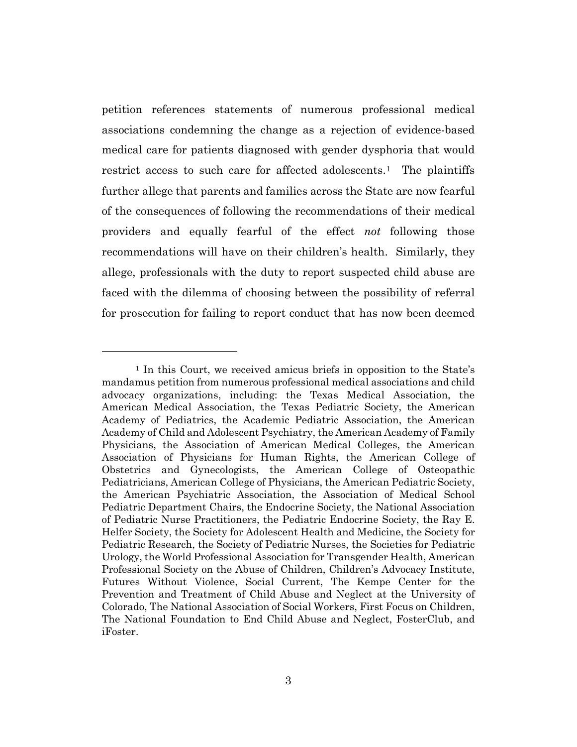petition references statements of numerous professional medical associations condemning the change as a rejection of evidence-based medical care for patients diagnosed with gender dysphoria that would restrict access to such care for affected adolescents.<sup>1</sup> The plaintiffs further allege that parents and families across the State are now fearful of the consequences of following the recommendations of their medical providers and equally fearful of the effect *not* following those recommendations will have on their children's health. Similarly, they allege, professionals with the duty to report suspected child abuse are faced with the dilemma of choosing between the possibility of referral for prosecution for failing to report conduct that has now been deemed

<sup>&</sup>lt;sup>1</sup> In this Court, we received amicus briefs in opposition to the State's mandamus petition from numerous professional medical associations and child advocacy organizations, including: the Texas Medical Association, the American Medical Association, the Texas Pediatric Society, the American Academy of Pediatrics, the Academic Pediatric Association, the American Academy of Child and Adolescent Psychiatry, the American Academy of Family Physicians, the Association of American Medical Colleges, the American Association of Physicians for Human Rights, the American College of Obstetrics and Gynecologists, the American College of Osteopathic Pediatricians, American College of Physicians, the American Pediatric Society, the American Psychiatric Association, the Association of Medical School Pediatric Department Chairs, the Endocrine Society, the National Association of Pediatric Nurse Practitioners, the Pediatric Endocrine Society, the Ray E. Helfer Society, the Society for Adolescent Health and Medicine, the Society for Pediatric Research, the Society of Pediatric Nurses, the Societies for Pediatric Urology, the World Professional Association for Transgender Health, American Professional Society on the Abuse of Children, Children's Advocacy Institute, Futures Without Violence, Social Current, The Kempe Center for the Prevention and Treatment of Child Abuse and Neglect at the University of Colorado, The National Association of Social Workers, First Focus on Children, The National Foundation to End Child Abuse and Neglect, FosterClub, and iFoster.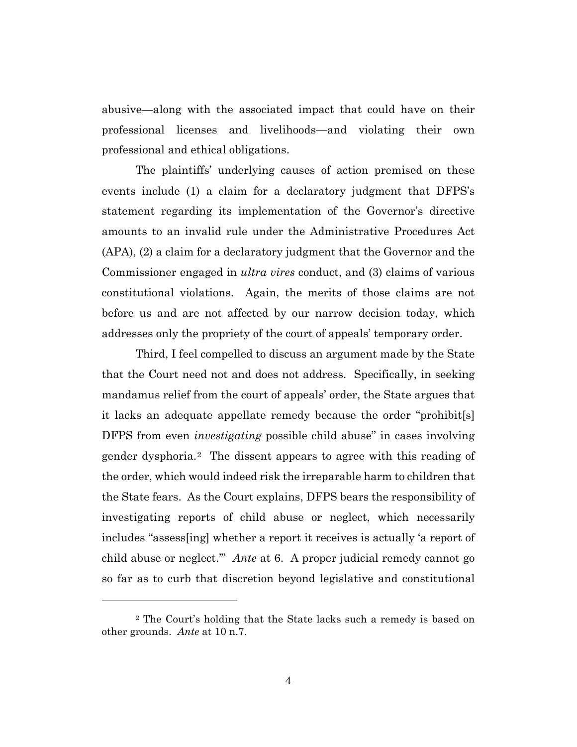abusive—along with the associated impact that could have on their professional licenses and livelihoods—and violating their own professional and ethical obligations.

The plaintiffs' underlying causes of action premised on these events include (1) a claim for a declaratory judgment that DFPS's statement regarding its implementation of the Governor's directive amounts to an invalid rule under the Administrative Procedures Act (APA), (2) a claim for a declaratory judgment that the Governor and the Commissioner engaged in *ultra vires* conduct, and (3) claims of various constitutional violations. Again, the merits of those claims are not before us and are not affected by our narrow decision today, which addresses only the propriety of the court of appeals' temporary order.

Third, I feel compelled to discuss an argument made by the State that the Court need not and does not address. Specifically, in seeking mandamus relief from the court of appeals' order, the State argues that it lacks an adequate appellate remedy because the order "prohibit[s] DFPS from even *investigating* possible child abuse" in cases involving gender dysphoria.2 The dissent appears to agree with this reading of the order, which would indeed risk the irreparable harm to children that the State fears. As the Court explains, DFPS bears the responsibility of investigating reports of child abuse or neglect, which necessarily includes "assess[ing] whether a report it receives is actually 'a report of child abuse or neglect.'" *Ante* at 6. A proper judicial remedy cannot go so far as to curb that discretion beyond legislative and constitutional

<sup>2</sup> The Court's holding that the State lacks such a remedy is based on other grounds. *Ante* at 10 n.7.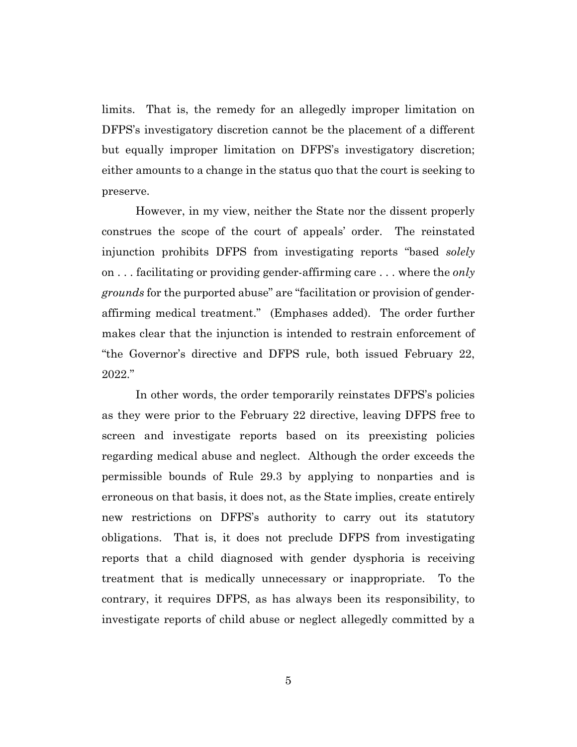limits. That is, the remedy for an allegedly improper limitation on DFPS's investigatory discretion cannot be the placement of a different but equally improper limitation on DFPS's investigatory discretion; either amounts to a change in the status quo that the court is seeking to preserve.

However, in my view, neither the State nor the dissent properly construes the scope of the court of appeals' order. The reinstated injunction prohibits DFPS from investigating reports "based *solely* on . . . facilitating or providing gender-affirming care . . . where the *only grounds* for the purported abuse" are "facilitation or provision of genderaffirming medical treatment." (Emphases added). The order further makes clear that the injunction is intended to restrain enforcement of "the Governor's directive and DFPS rule, both issued February 22, 2022."

In other words, the order temporarily reinstates DFPS's policies as they were prior to the February 22 directive, leaving DFPS free to screen and investigate reports based on its preexisting policies regarding medical abuse and neglect. Although the order exceeds the permissible bounds of Rule 29.3 by applying to nonparties and is erroneous on that basis, it does not, as the State implies, create entirely new restrictions on DFPS's authority to carry out its statutory obligations. That is, it does not preclude DFPS from investigating reports that a child diagnosed with gender dysphoria is receiving treatment that is medically unnecessary or inappropriate. To the contrary, it requires DFPS, as has always been its responsibility, to investigate reports of child abuse or neglect allegedly committed by a

5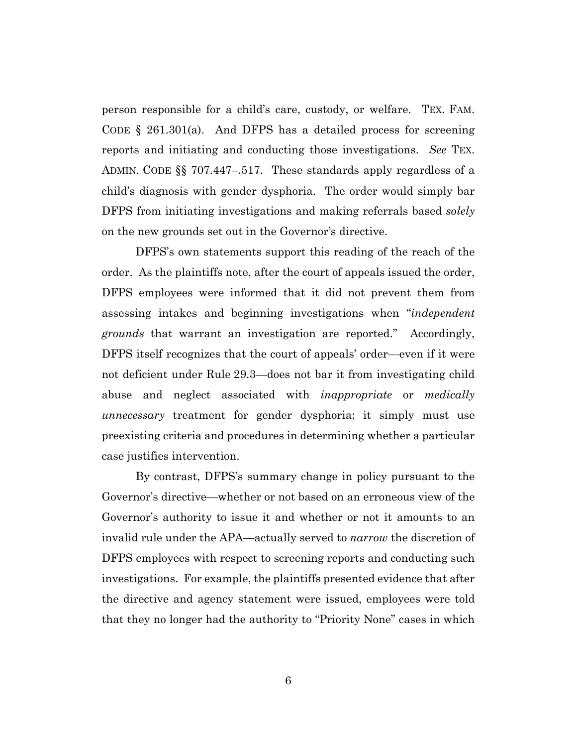person responsible for a child's care, custody, or welfare. TEX. FAM. CODE § 261.301(a). And DFPS has a detailed process for screening reports and initiating and conducting those investigations. *See* TEX. ADMIN. CODE §§ 707.447–.517. These standards apply regardless of a child's diagnosis with gender dysphoria. The order would simply bar DFPS from initiating investigations and making referrals based *solely*  on the new grounds set out in the Governor's directive.

DFPS's own statements support this reading of the reach of the order. As the plaintiffs note, after the court of appeals issued the order, DFPS employees were informed that it did not prevent them from assessing intakes and beginning investigations when "*independent grounds* that warrant an investigation are reported." Accordingly, DFPS itself recognizes that the court of appeals' order—even if it were not deficient under Rule 29.3—does not bar it from investigating child abuse and neglect associated with *inappropriate* or *medically unnecessary* treatment for gender dysphoria; it simply must use preexisting criteria and procedures in determining whether a particular case justifies intervention.

By contrast, DFPS's summary change in policy pursuant to the Governor's directive—whether or not based on an erroneous view of the Governor's authority to issue it and whether or not it amounts to an invalid rule under the APA—actually served to *narrow* the discretion of DFPS employees with respect to screening reports and conducting such investigations. For example, the plaintiffs presented evidence that after the directive and agency statement were issued, employees were told that they no longer had the authority to "Priority None" cases in which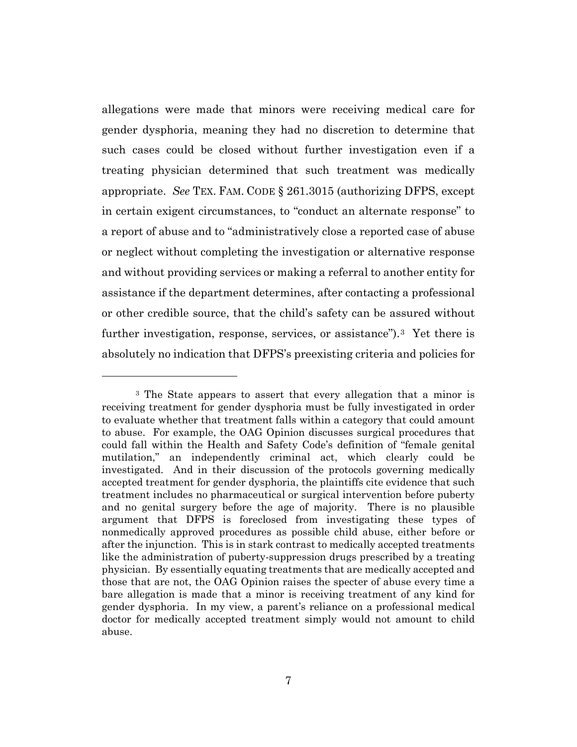allegations were made that minors were receiving medical care for gender dysphoria, meaning they had no discretion to determine that such cases could be closed without further investigation even if a treating physician determined that such treatment was medically appropriate. *See* TEX. FAM. CODE § 261.3015 (authorizing DFPS, except in certain exigent circumstances, to "conduct an alternate response" to a report of abuse and to "administratively close a reported case of abuse or neglect without completing the investigation or alternative response and without providing services or making a referral to another entity for assistance if the department determines, after contacting a professional or other credible source, that the child's safety can be assured without further investigation, response, services, or assistance").3 Yet there is absolutely no indication that DFPS's preexisting criteria and policies for

<sup>&</sup>lt;sup>3</sup> The State appears to assert that every allegation that a minor is receiving treatment for gender dysphoria must be fully investigated in order to evaluate whether that treatment falls within a category that could amount to abuse. For example, the OAG Opinion discusses surgical procedures that could fall within the Health and Safety Code's definition of "female genital mutilation," an independently criminal act, which clearly could be investigated. And in their discussion of the protocols governing medically accepted treatment for gender dysphoria, the plaintiffs cite evidence that such treatment includes no pharmaceutical or surgical intervention before puberty and no genital surgery before the age of majority. There is no plausible argument that DFPS is foreclosed from investigating these types of nonmedically approved procedures as possible child abuse, either before or after the injunction. This is in stark contrast to medically accepted treatments like the administration of puberty-suppression drugs prescribed by a treating physician. By essentially equating treatments that are medically accepted and those that are not, the OAG Opinion raises the specter of abuse every time a bare allegation is made that a minor is receiving treatment of any kind for gender dysphoria. In my view, a parent's reliance on a professional medical doctor for medically accepted treatment simply would not amount to child abuse.